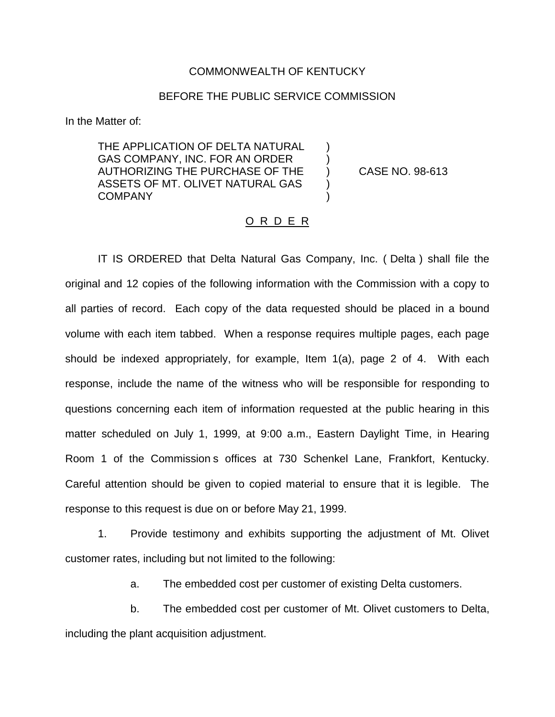### COMMONWEALTH OF KENTUCKY

## BEFORE THE PUBLIC SERVICE COMMISSION

In the Matter of:

THE APPLICATION OF DELTA NATURAL GAS COMPANY, INC. FOR AN ORDER AUTHORIZING THE PURCHASE OF THE ) CASE NO. 98-613 ASSETS OF MT. OLIVET NATURAL GAS COMPANY )

#### O R D E R

IT IS ORDERED that Delta Natural Gas Company, Inc. ( Delta ) shall file the original and 12 copies of the following information with the Commission with a copy to all parties of record. Each copy of the data requested should be placed in a bound volume with each item tabbed. When a response requires multiple pages, each page should be indexed appropriately, for example, Item 1(a), page 2 of 4. With each response, include the name of the witness who will be responsible for responding to questions concerning each item of information requested at the public hearing in this matter scheduled on July 1, 1999, at 9:00 a.m., Eastern Daylight Time, in Hearing Room 1 of the Commission s offices at 730 Schenkel Lane, Frankfort, Kentucky. Careful attention should be given to copied material to ensure that it is legible. The response to this request is due on or before May 21, 1999.

1. Provide testimony and exhibits supporting the adjustment of Mt. Olivet customer rates, including but not limited to the following:

a. The embedded cost per customer of existing Delta customers.

b. The embedded cost per customer of Mt. Olivet customers to Delta, including the plant acquisition adjustment.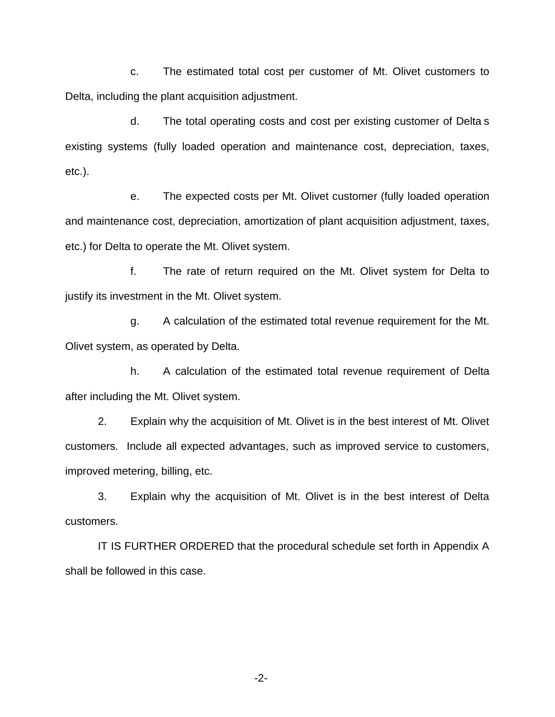c. The estimated total cost per customer of Mt. Olivet customers to Delta, including the plant acquisition adjustment.

d. The total operating costs and cost per existing customer of Delta s existing systems (fully loaded operation and maintenance cost, depreciation, taxes, etc.).

e. The expected costs per Mt. Olivet customer (fully loaded operation and maintenance cost, depreciation, amortization of plant acquisition adjustment, taxes, etc.) for Delta to operate the Mt. Olivet system.

f. The rate of return required on the Mt. Olivet system for Delta to justify its investment in the Mt. Olivet system.

g. A calculation of the estimated total revenue requirement for the Mt. Olivet system, as operated by Delta.

h. A calculation of the estimated total revenue requirement of Delta after including the Mt. Olivet system.

2. Explain why the acquisition of Mt. Olivet is in the best interest of Mt. Olivet customers. Include all expected advantages, such as improved service to customers, improved metering, billing, etc.

3. Explain why the acquisition of Mt. Olivet is in the best interest of Delta customers.

IT IS FURTHER ORDERED that the procedural schedule set forth in Appendix A shall be followed in this case.

-2-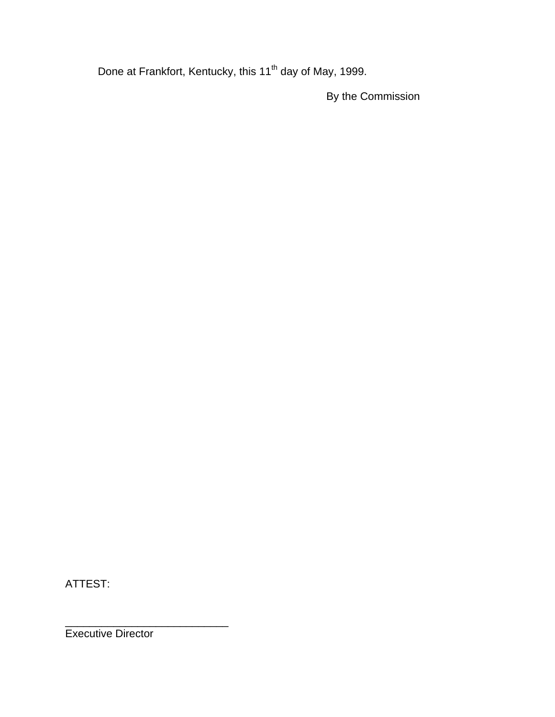Done at Frankfort, Kentucky, this 11<sup>th</sup> day of May, 1999.

By the Commission

ATTEST:

Executive Director

\_\_\_\_\_\_\_\_\_\_\_\_\_\_\_\_\_\_\_\_\_\_\_\_\_\_\_